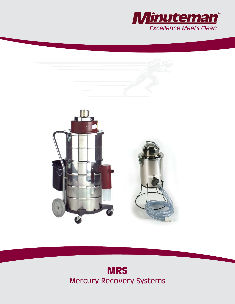



# **MRS** Mercury Recovery Systems